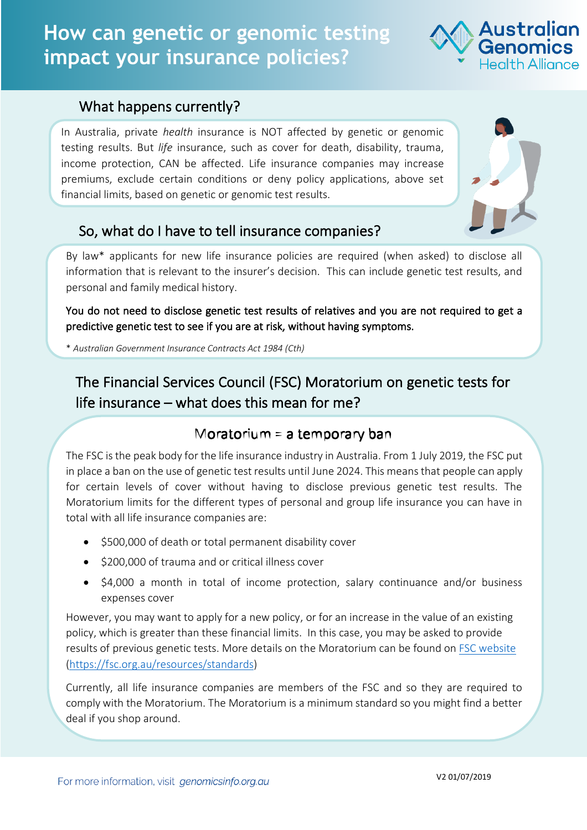# **How can genetic or genomic testing impact your insurance policies?**

#### What happens currently?

In Australia, private *health* insurance is NOT affected by genetic or genomic testing results. But *life* insurance, such as cover for death, disability, trauma, income protection, CAN be affected. Life insurance companies may increase premiums, exclude certain conditions or deny policy applications, above set financial limits, based on genetic or genomic test results.



Australian

## So, what do I have to tell insurance companies?

By law\* applicants for new life insurance policies are required (when asked) to disclose all information that is relevant to the insurer's decision. This can include genetic test results, and personal and family medical history.

You do not need to disclose genetic test results of relatives and you are not required to get a predictive genetic test to see if you are at risk, without having symptoms.

\* *Australian Government Insurance Contracts Act 1984 (Cth)*

The Financial Services Council (FSC) Moratorium on genetic tests for life insurance – what does this mean for me?

### Moratorium = a temporary ban

The FSC is the peak body for the life insurance industry in Australia. From 1 July 2019, the FSC put in place a ban on the use of genetic test results until June 2024. This meansthat people can apply for certain levels of cover without having to disclose previous genetic test results. The Moratorium limits for the different types of personal and group life insurance you can have in total with all life insurance companies are:

- \$500,000 of death or total permanent disability cover
- \$200,000 of trauma and or critical illness cover
- \$4,000 a month in total of income protection, salary continuance and/or business expenses cover

However, you may want to apply for a new policy, or for an increase in the value of an existing policy, which is greater than these financial limits. In this case, you may be asked to provide results of previous genetic tests. More details on the Moratorium can be found on FSC website (https://fsc.org.au/resources/standards)

Currently, all life insurance companies are members of the FSC and so they are required to comply with the Moratorium. The Moratorium is a minimum standard so you might find a better deal if you shop around.